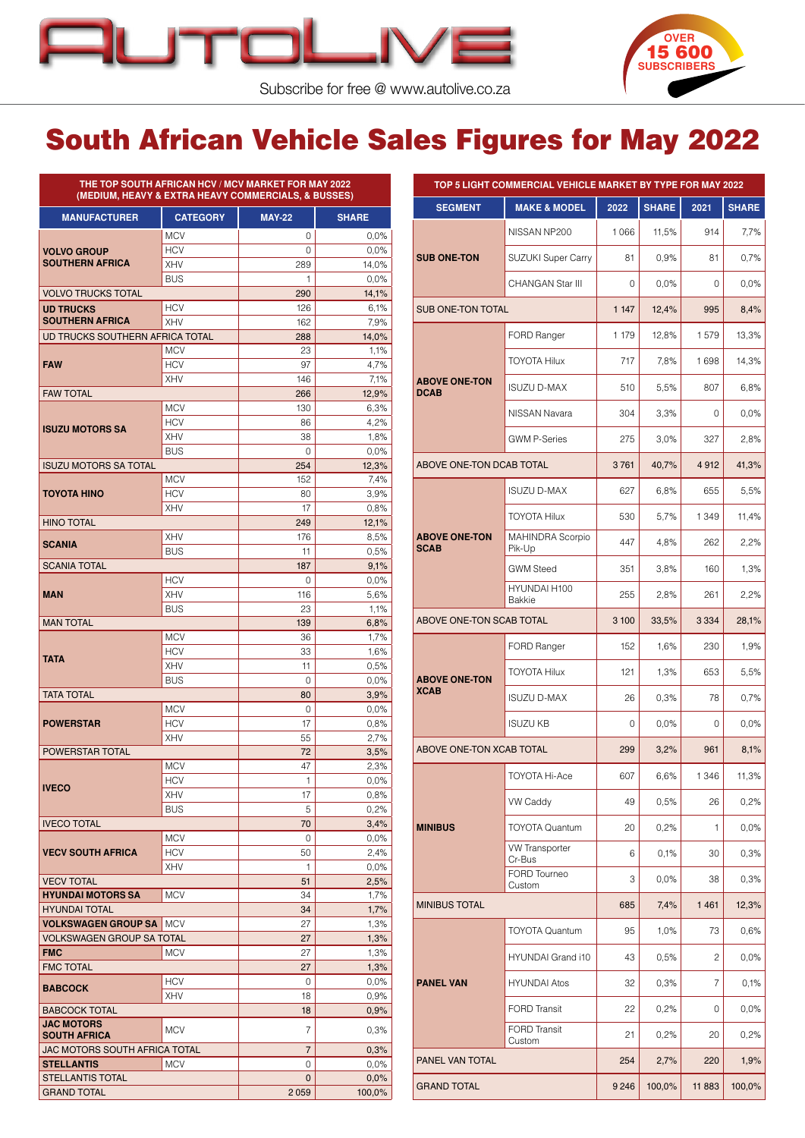



Subscribe for free @ [www.autolive.co.za](http://www.autolive.co.za)

## South African Vehicle Sales Figures for May 2022

| <b>MANUFACTURER</b>                      | <b>CATEGORY</b>   | <b>MAY-22</b>  | <b>SHARE</b>  | <b>SEGM</b>                    |
|------------------------------------------|-------------------|----------------|---------------|--------------------------------|
|                                          | <b>MCV</b>        | 0              | 0.0%          |                                |
| <b>VOLVO GROUP</b>                       | <b>HCV</b>        | $\Omega$       | 0,0%          |                                |
| <b>SOUTHERN AFRICA</b>                   | XHV               | 289            | 14,0%         | <b>SUB ONE-1</b>               |
|                                          | <b>BUS</b>        | 1              | 0,0%          |                                |
| <b>VOLVO TRUCKS TOTAL</b>                |                   | 290            | 14,1%         |                                |
| <b>UD TRUCKS</b>                         | <b>HCV</b>        | 126            | 6,1%          | <b>SUB ONE-T</b>               |
| <b>SOUTHERN AFRICA</b>                   | <b>XHV</b>        | 162            | 7,9%          |                                |
| UD TRUCKS SOUTHERN AFRICA TOTAL          |                   | 288            | 14,0%         |                                |
|                                          | <b>MCV</b>        | 23             | 1,1%          |                                |
| <b>FAW</b>                               | <b>HCV</b>        | 97             | 4,7%          |                                |
| <b>FAW TOTAL</b>                         | <b>XHV</b>        | 146            | 7,1%          | <b>ABOVE ON</b><br><b>DCAB</b> |
|                                          | <b>MCV</b>        | 266<br>130     | 12,9%<br>6,3% |                                |
|                                          | <b>HCV</b>        | 86             | 4,2%          |                                |
| <b>ISUZU MOTORS SA</b>                   | <b>XHV</b>        | 38             | 1,8%          |                                |
|                                          | <b>BUS</b>        | 0              | 0,0%          |                                |
| <b>ISUZU MOTORS SA TOTAL</b>             |                   | 254            | 12,3%         | <b>ABOVE ON</b>                |
|                                          | <b>MCV</b>        | 152            | 7.4%          |                                |
| <b>TOYOTA HINO</b>                       | <b>HCV</b>        | 80             | 3.9%          |                                |
|                                          | XHV               | 17             | 0,8%          |                                |
| <b>HINO TOTAL</b>                        |                   | 249            | 12,1%         |                                |
|                                          | <b>XHV</b>        | 176            | 8,5%          | <b>ABOVE ON</b>                |
| <b>SCANIA</b>                            | <b>BUS</b>        | 11             | 0.5%          | <b>SCAB</b>                    |
| <b>SCANIA TOTAL</b>                      |                   | 187            | 9,1%          |                                |
|                                          | <b>HCV</b>        | 0              | 0,0%          |                                |
| MAN                                      | <b>XHV</b>        | 116            | 5,6%          |                                |
|                                          | <b>BUS</b>        | 23             | 1,1%          |                                |
| <b>MAN TOTAL</b>                         |                   | 139            | 6,8%          | <b>ABOVE ON</b>                |
|                                          | <b>MCV</b>        | 36             | 1,7%          |                                |
| <b>TATA</b>                              | <b>HCV</b>        | 33             | 1,6%          |                                |
|                                          | <b>XHV</b>        | 11             | 0.5%          |                                |
|                                          | <b>BUS</b>        | 0              | 0.0%          | <b>ABOVE ON</b><br><b>XCAB</b> |
| <b>TATA TOTAL</b>                        |                   | 80             | 3,9%          |                                |
|                                          | <b>MCV</b>        | 0<br>17        | 0,0%          |                                |
| <b>POWERSTAR</b>                         | <b>HCV</b><br>XHV |                | 0.8%          |                                |
| POWERSTAR TOTAL                          |                   | 55<br>72       | 2,7%<br>3,5%  | <b>ABOVE ON</b>                |
|                                          | <b>MCV</b>        | 47             | 2,3%          |                                |
|                                          | <b>HCV</b>        | 1              | 0,0%          |                                |
| <b>IVECO</b>                             | XHV               | 17             | 0,8%          |                                |
|                                          | <b>BUS</b>        | 5              | 0,2%          |                                |
| <b>IVECO TOTAL</b>                       |                   | 70             | 3,4%          | <b>MINIBUS</b>                 |
|                                          | <b>MCV</b>        | 0              | 0,0%          |                                |
| <b>VECV SOUTH AFRICA</b>                 | <b>HCV</b>        | 50             | 2,4%          |                                |
|                                          | XHV               | 1              | 0,0%          |                                |
| <b>VECV TOTAL</b>                        |                   | 51             | 2,5%          |                                |
| <b>HYUNDAI MOTORS SA</b>                 | <b>MCV</b>        | 34             | 1,7%          |                                |
| <b>HYUNDAI TOTAL</b>                     |                   | 34             | 1,7%          | <b>MINIBUS TO</b>              |
| <b>VOLKSWAGEN GROUP SA   MCV</b>         |                   | 27             | 1,3%          |                                |
| <b>VOLKSWAGEN GROUP SA TOTAL</b>         |                   | 27             | 1,3%          |                                |
| <b>FMC</b>                               | MCV               | 27             | 1,3%          |                                |
| <b>FMC TOTAL</b>                         |                   | 27             | 1,3%          |                                |
| <b>BABCOCK</b>                           | <b>HCV</b>        | 0              | 0,0%          | <b>PANEL VAI</b>               |
|                                          | XHV               | 18             | 0,9%          |                                |
| <b>BABCOCK TOTAL</b>                     |                   | 18             | 0,9%          |                                |
| <b>JAC MOTORS</b><br><b>SOUTH AFRICA</b> | MCV               | 7              | 0,3%          |                                |
| JAC MOTORS SOUTH AFRICA TOTAL            |                   | $\overline{7}$ | 0,3%          |                                |
| <b>STELLANTIS</b>                        | <b>MCV</b>        | 0              | 0.0%          | PANEL VAN                      |
|                                          |                   |                |               |                                |
| <b>STELLANTIS TOTAL</b>                  |                   | $\mathbf{0}$   | 0,0%          | <b>GRAND TO</b>                |

|                                     | TOP 5 LIGHT COMMERCIAL VEHICLE MARKET BY TYPE FOR MAY 2022 |         |              |         |              |
|-------------------------------------|------------------------------------------------------------|---------|--------------|---------|--------------|
| <b>SEGMENT</b>                      | <b>MAKE &amp; MODEL</b>                                    | 2022    | <b>SHARE</b> | 2021    | <b>SHARE</b> |
|                                     | NISSAN NP200                                               | 1066    | 11,5%        | 914     | 7,7%         |
| <b>SUB ONE-TON</b>                  | SUZUKI Super Carry                                         | 81      | 0,9%         | 81      | 0,7%         |
|                                     | CHANGAN Star III                                           | 0       | $0.0\%$      | 0       | 0.0%         |
| <b>SUB ONE-TON TOTAL</b>            |                                                            | 1 1 4 7 | 12,4%        | 995     | 8,4%         |
|                                     | <b>FORD Ranger</b>                                         | 1 179   | 12,8%        | 1579    | 13,3%        |
|                                     | <b>TOYOTA Hilux</b>                                        | 717     | 7,8%         | 1698    | 14,3%        |
| <b>ABOVE ONE-TON</b><br><b>DCAB</b> | <b>ISUZU D-MAX</b>                                         | 510     | 5,5%         | 807     | 6,8%         |
|                                     | NISSAN Navara                                              | 304     | 3.3%         | 0       | 0.0%         |
|                                     | <b>GWM P-Series</b>                                        | 275     | 3.0%         | 327     | 2,8%         |
| ABOVE ONE-TON DCAB TOTAL            |                                                            | 3761    | 40,7%        | 4912    | 41,3%        |
|                                     | <b>ISUZU D-MAX</b>                                         | 627     | 6,8%         | 655     | 5,5%         |
|                                     | <b>TOYOTA Hilux</b>                                        | 530     | 5,7%         | 1 3 4 9 | 11,4%        |
| <b>ABOVE ONE-TON</b><br><b>SCAB</b> | MAHINDRA Scorpio<br>Pik-Up                                 | 447     | 4,8%         | 262     | 2,2%         |
|                                     | <b>GWM Steed</b>                                           | 351     | 3,8%         | 160     | 1,3%         |
|                                     | HYUNDAI H100<br><b>Bakkie</b>                              | 255     | 2,8%         | 261     | 2,2%         |
| ABOVE ONE-TON SCAB TOTAL            |                                                            | 3 100   | 33,5%        | 3 3 3 4 | 28,1%        |
|                                     | FORD Ranger                                                | 152     | 1,6%         | 230     | 1,9%         |
| <b>ABOVE ONE-TON</b>                | <b>TOYOTA Hilux</b>                                        | 121     | 1,3%         | 653     | 5,5%         |
| <b>XCAB</b>                         | <b>ISUZU D-MAX</b>                                         | 26      | 0,3%         | 78      | 0,7%         |
|                                     | <b>ISUZU KB</b>                                            | 0       | 0,0%         | 0       | 0,0%         |
| ABOVE ONE-TON XCAB TOTAL            |                                                            | 299     | 3,2%         | 961     | 8,1%         |
|                                     | TOYOTA Hi-Ace                                              | 607     | 6,6%         | 1346    | 11,3%        |
|                                     | <b>VW Caddy</b>                                            | 49      | 0,5%         | 26      | 0,2%         |
| <b>MINIBUS</b>                      | <b>TOYOTA Quantum</b>                                      | 20      | 0,2%         | 1       | 0,0%         |
|                                     | <b>VW Transporter</b><br>Cr-Bus                            | 6       | 0,1%         | 30      | 0,3%         |
|                                     | FORD Tourneo<br>Custom                                     | 3       | 0,0%         | 38      | 0,3%         |
| <b>MINIBUS TOTAL</b>                |                                                            | 685     | 7,4%         | 1461    | 12,3%        |
|                                     | <b>TOYOTA Quantum</b>                                      | 95      | 1,0%         | 73      | 0,6%         |
|                                     | HYUNDAI Grand i10                                          | 43      | 0,5%         | 2       | 0,0%         |
| <b>PANEL VAN</b>                    | <b>HYUNDAI Atos</b>                                        | 32      | 0,3%         | 7       | 0,1%         |
|                                     | <b>FORD Transit</b>                                        | 22      | 0,2%         | 0       | 0,0%         |
|                                     | <b>FORD Transit</b><br>Custom                              | 21      | 0,2%         | 20      | 0,2%         |
| PANEL VAN TOTAL                     |                                                            | 254     | 2,7%         | 220     | 1,9%         |
| <b>GRAND TOTAL</b>                  |                                                            | 9 2 4 6 | 100,0%       | 11883   | 100,0%       |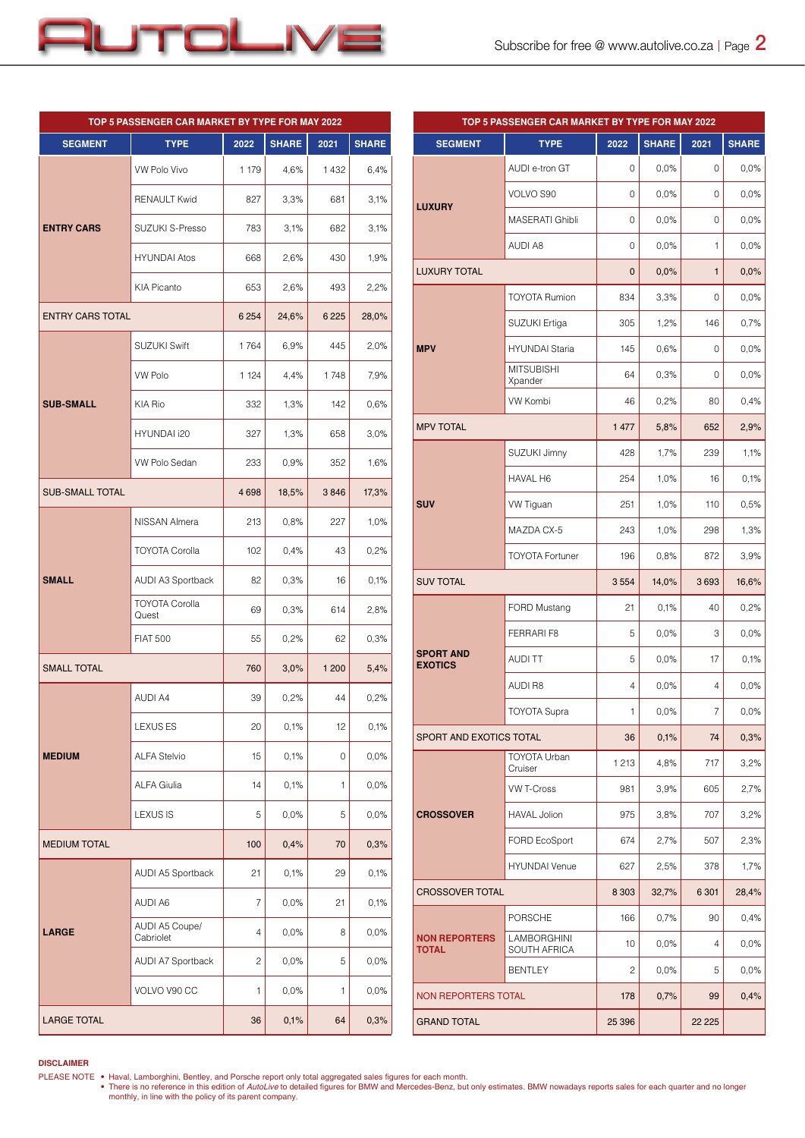

|                         | TOP 5 PASSENGER CAR MARKET BY TYPE FOR MAY 2022 |         |              |         |              |
|-------------------------|-------------------------------------------------|---------|--------------|---------|--------------|
| <b>SEGMENT</b>          | <b>TYPE</b>                                     | 2022    | <b>SHARE</b> | 2021    | <b>SHARE</b> |
|                         | <b>VW Polo Vivo</b>                             | 1 179   | 4,6%         | 1432    | 6,4%         |
|                         | <b>RENAULT Kwid</b>                             | 827     | 3,3%         | 681     | 3,1%         |
| <b>ENTRY CARS</b>       | SUZUKI S-Presso                                 | 783     | 3,1%         | 682     | 3,1%         |
|                         | <b>HYUNDAI Atos</b>                             | 668     | 2,6%         | 430     | 1,9%         |
|                         | KIA Picanto                                     | 653     | 2,6%         | 493     | 2,2%         |
| <b>ENTRY CARS TOTAL</b> |                                                 | 6 2 5 4 | 24,6%        | 6 2 2 5 | 28,0%        |
|                         | <b>SUZUKI Swift</b>                             | 1764    | 6,9%         | 445     | 2,0%         |
|                         | <b>VW Polo</b>                                  | 1 1 2 4 | 4,4%         | 1748    | 7,9%         |
| <b>SUB-SMALL</b>        | KIA Rio                                         | 332     | 1,3%         | 142     | 0,6%         |
|                         | HYUNDAI i20                                     | 327     | 1,3%         | 658     | 3,0%         |
|                         | <b>VW Polo Sedan</b>                            | 233     | 0,9%         | 352     | 1,6%         |
| <b>SUB-SMALL TOTAL</b>  |                                                 | 4698    | 18,5%        | 3846    | 17,3%        |
|                         | NISSAN Almera                                   | 213     | 0,8%         | 227     | 1,0%         |
|                         | <b>TOYOTA Corolla</b>                           | 102     | 0,4%         | 43      | 0,2%         |
| <b>SMALL</b>            | AUDI A3 Sportback                               | 82      | 0,3%         | 16      | 0.1%         |
|                         | <b>TOYOTA Corolla</b><br>Quest                  | 69      | 0,3%         | 614     | 2,8%         |
|                         | <b>FIAT 500</b>                                 | 55      | 0,2%         | 62      | 0,3%         |
| <b>SMALL TOTAL</b>      |                                                 | 760     | 3,0%         | 1 200   | 5,4%         |
|                         | <b>AUDI A4</b>                                  | 39      | 0,2%         | 44      | 0,2%         |
|                         | <b>LEXUS ES</b>                                 | 20      | 0,1%         | 12      | 0,1%         |
| <b>MEDIUM</b>           | ALFA Stelvio                                    | 15      | 0,1%         | 0       | 0,0%         |
|                         | <b>ALFA Giulia</b>                              | 14      | 0,1%         | 1       | 0,0%         |
|                         | <b>LEXUS IS</b>                                 | 5       | 0,0%         | 5       | 0,0%         |
| <b>MEDIUM TOTAL</b>     |                                                 | 100     | 0,4%         | 70      | 0,3%         |
|                         | AUDI A5 Sportback                               | 21      | 0,1%         | 29      | 0,1%         |
|                         | AUDI A6                                         | 7       | 0,0%         | 21      | 0,1%         |
| <b>LARGE</b>            | AUDI A5 Coupe/<br>Cabriolet                     | 4       | 0,0%         | 8       | 0,0%         |
|                         | AUDI A7 Sportback                               | 2       | 0,0%         | 5       | 0,0%         |
|                         | VOLVO V90 CC                                    | 1       | 0,0%         | 1       | 0,0%         |
| <b>LARGE TOTAL</b>      |                                                 | 36      | 0,1%         | 64      | 0,3%         |

| TOP 5 PASSENGER CAR MARKET BY TYPE FOR MAY 2022 |                                    |         |              |              |              |
|-------------------------------------------------|------------------------------------|---------|--------------|--------------|--------------|
| <b>SEGMENT</b>                                  | <b>TYPE</b>                        | 2022    | <b>SHARE</b> | 2021         | <b>SHARE</b> |
|                                                 | AUDI e-tron GT                     | 0       | 0,0%         | 0            | 0,0%         |
|                                                 | VOLVO S90                          | 0       | 0,0%         | 0            | 0,0%         |
| <b>LUXURY</b>                                   | MASERATI Ghibli                    | 0       | 0,0%         | 0            | 0,0%         |
|                                                 | AUDI A8                            | 0       | 0,0%         | 1            | 0,0%         |
| <b>LUXURY TOTAL</b>                             |                                    | 0       | 0,0%         | $\mathbf{1}$ | 0,0%         |
|                                                 | <b>TOYOTA Rumion</b>               | 834     | 3,3%         | 0            | 0,0%         |
|                                                 | SUZUKI Ertiga                      | 305     | 1,2%         | 146          | 0,7%         |
| <b>MPV</b>                                      | <b>HYUNDAI Staria</b>              | 145     | 0,6%         | 0            | 0,0%         |
|                                                 | <b>MITSUBISHI</b><br>Xpander       | 64      | 0,3%         | 0            | 0,0%         |
|                                                 | <b>VW Kombi</b>                    | 46      | 0,2%         | 80           | 0,4%         |
| <b>MPV TOTAL</b>                                |                                    | 1 477   | 5,8%         | 652          | 2,9%         |
|                                                 | SUZUKI Jimny                       | 428     | 1,7%         | 239          | 1,1%         |
|                                                 | HAVAL H6                           | 254     | 1,0%         | 16           | 0,1%         |
| <b>SUV</b>                                      | <b>VW Tiguan</b>                   | 251     | 1,0%         | 110          | 0,5%         |
|                                                 | MAZDA CX-5                         | 243     | 1,0%         | 298          | 1,3%         |
|                                                 | <b>TOYOTA Fortuner</b>             | 196     | 0,8%         | 872          | 3,9%         |
| <b>SUV TOTAL</b>                                |                                    | 3554    | 14,0%        | 3693         | 16,6%        |
|                                                 | FORD Mustang                       | 21      | 0,1%         | 40           | 0,2%         |
|                                                 | FERRARI F8                         | 5       | 0,0%         | 3            | 0,0%         |
| <b>SPORT AND</b><br><b>EXOTICS</b>              | <b>AUDITT</b>                      | 5       | 0,0%         | 17           | 0,1%         |
|                                                 | <b>AUDI R8</b>                     | 4       | 0,0%         | 4            | 0.0%         |
|                                                 | <b>TOYOTA Supra</b>                | 1       | 0,0%         | 7            | 0,0%         |
| SPORT AND EXOTICS TOTAL                         |                                    | 36      | 0,1%         | 74           | 0,3%         |
|                                                 | <b>TOYOTA Urban</b><br>Cruiser     | 1 2 1 3 | 4,8%         | 717          | 3,2%         |
|                                                 | <b>VW T-Cross</b>                  | 981     | 3,9%         | 605          | 2,7%         |
| <b>CROSSOVER</b>                                | <b>HAVAL Jolion</b>                | 975     | 3,8%         | 707          | 3,2%         |
|                                                 | FORD EcoSport                      | 674     | 2,7%         | 507          | 2,3%         |
|                                                 | <b>HYUNDAI Venue</b>               | 627     | 2,5%         | 378          | 1,7%         |
|                                                 | <b>CROSSOVER TOTAL</b>             |         | 32,7%        | 6 3 0 1      | 28,4%        |
|                                                 | PORSCHE                            | 166     | 0,7%         | 90           | 0,4%         |
| <b>NON REPORTERS</b><br><b>TOTAL</b>            | LAMBORGHINI<br><b>SOUTH AFRICA</b> | 10      | 0,0%         | 4            | 0,0%         |
|                                                 | <b>BENTLEY</b>                     | 2       | 0,0%         | 5            | 0,0%         |
| <b>NON REPORTERS TOTAL</b>                      |                                    | 178     | 0,7%         | 99           | 0,4%         |
|                                                 |                                    |         |              |              |              |

## **DISCLAIMER**

PLEASE NOTE ● Haval, Lamborghini, Bentley, and Porsche report only total aggregated sales figures for each month.<br>● There is no reference in this edition of AutoLive to detailed figures for BMW and Mercedes-Benz, but only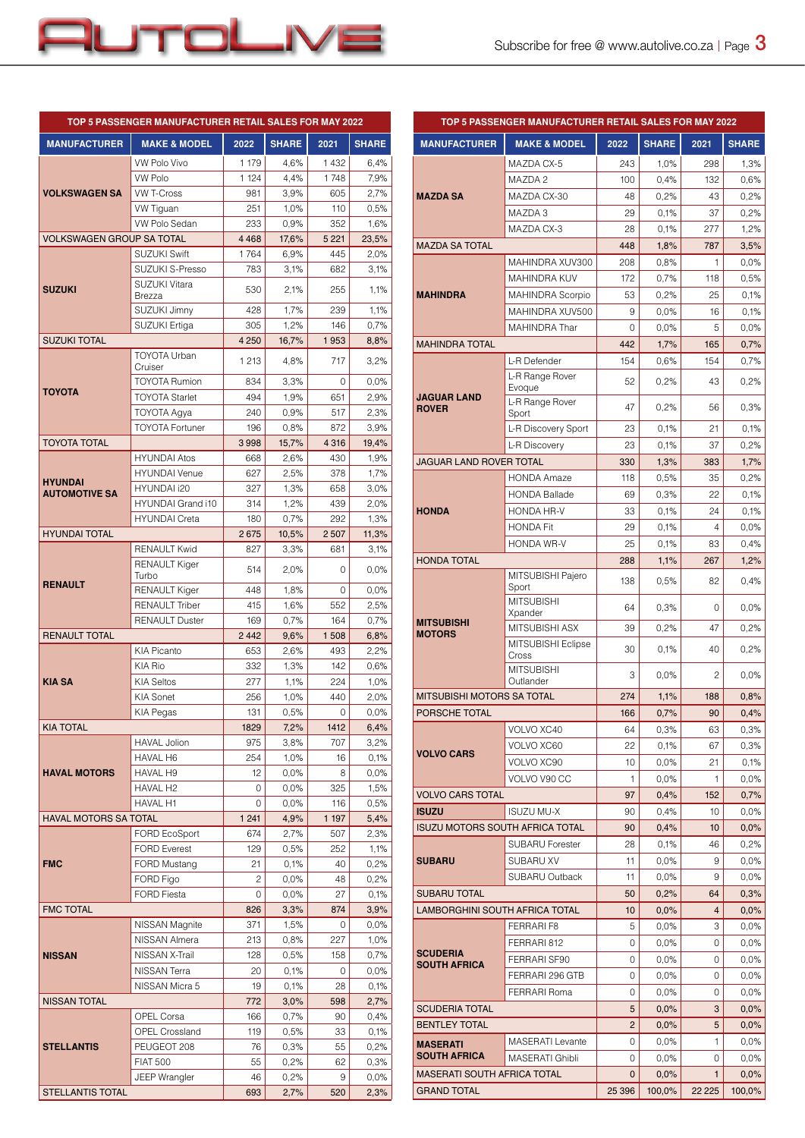

|                                  | TOP 5 PASSENGER MANUFACTURER RETAIL SALES FOR MAY 2022 |            |                 |            |              |
|----------------------------------|--------------------------------------------------------|------------|-----------------|------------|--------------|
| <b>MANUFACTURER</b>              | <b>MAKE &amp; MODEL</b>                                | 2022       | <b>SHARE</b>    | 2021       | <b>SHARE</b> |
|                                  | VW Polo Vivo                                           | 1 179      | 4,6%            | 1432       | 6,4%         |
|                                  | <b>VW Polo</b>                                         | 1 1 2 4    | 4,4%            | 1748       | 7,9%         |
| <b>VOLKSWAGEN SA</b>             | <b>VW T-Cross</b>                                      | 981        | 3,9%            | 605        | 2,7%         |
|                                  | VW Tiguan                                              | 251        | 1,0%            | 110        | 0,5%         |
|                                  | VW Polo Sedan                                          | 233        | 0,9%            | 352        | 1,6%         |
| <b>VOLKSWAGEN GROUP SA TOTAL</b> |                                                        | 4468       | 17,6%           | 5 2 2 1    | 23,5%        |
|                                  | <b>SUZUKI Swift</b>                                    | 1764       | 6.9%            | 445        | 2,0%         |
|                                  | <b>SUZUKI S-Presso</b><br>SUZUKI Vitara                | 783        | 3,1%            | 682        | 3,1%         |
| <b>SUZUKI</b>                    | Brezza                                                 | 530        | 2,1%            | 255        | 1,1%         |
|                                  | SUZUKI Jimny                                           | 428        | 1,7%            | 239        | 1,1%         |
|                                  | SUZUKI Ertiga                                          | 305        | 1,2%            | 146        | 0,7%         |
| <b>SUZUKI TOTAL</b>              | <b>TOYOTA Urban</b>                                    | 4 2 5 0    | 16,7%           | 1953       | 8,8%         |
|                                  | Cruiser                                                | 1 2 1 3    | 4,8%            | 717        | 3,2%         |
| <b>TOYOTA</b>                    | <b>TOYOTA Rumion</b>                                   | 834        | 3,3%            | 0          | 0,0%         |
|                                  | <b>TOYOTA Starlet</b>                                  | 494        | 1,9%            | 651        | 2,9%         |
|                                  | TOYOTA Agya                                            | 240        | 0,9%            | 517        | 2,3%         |
|                                  | <b>TOYOTA Fortuner</b>                                 | 196        | 0,8%            | 872        | 3.9%         |
| <b>TOYOTA TOTAL</b>              |                                                        | 3998       | 15,7%           | 4 3 1 6    | 19,4%        |
|                                  | <b>HYUNDAI Atos</b>                                    | 668        | 2.6%            | 430        | 1,9%         |
| <b>HYUNDAI</b>                   | <b>HYUNDAI</b> Venue                                   | 627        | 2,5%            | 378        | 1,7%         |
| <b>AUTOMOTIVE SA</b>             | HYUNDAI i20<br>HYUNDAI Grand i10                       | 327        | 1,3%            | 658        | 3,0%         |
|                                  | <b>HYUNDAI Creta</b>                                   | 314<br>180 | 1,2%<br>0,7%    | 439<br>292 | 2,0%<br>1,3% |
| <b>HYUNDAI TOTAL</b>             |                                                        | 2675       | 10,5%           | 2 5 0 7    | 11,3%        |
|                                  | <b>RENAULT Kwid</b>                                    | 827        | 3,3%            | 681        | 3.1%         |
|                                  | RENAULT Kiger                                          | 514        | 2,0%            | 0          | 0,0%         |
| <b>RENAULT</b>                   | Turbo<br>RENAULT Kiger                                 | 448        | 1,8%            | 0          | 0,0%         |
|                                  | <b>RENAULT Triber</b>                                  | 415        | 1,6%            | 552        | 2,5%         |
|                                  | <b>RENAULT Duster</b>                                  | 169        | 0,7%            | 164        | 0,7%         |
| <b>RENAULT TOTAL</b>             |                                                        | 2442       | 9,6%            | 1508       | 6,8%         |
|                                  | KIA Picanto                                            | 653        | 2,6%            | 493        | 2,2%         |
|                                  | KIA Rio                                                | 332        | 1,3%            | 142        | 0,6%         |
| <b>KIA SA</b>                    | <b>KIA Seltos</b>                                      | 277        | 1,1%            | 224        | 1,0%         |
|                                  | <b>KIA Sonet</b>                                       | 256        | 1,0%            | 440        | 2,0%         |
|                                  | KIA Pegas                                              | 131        | 0,5%            | 0          | 0,0%         |
| <b>KIA TOTAL</b>                 |                                                        | 1829       | 7,2%            | 1412       | 6,4%         |
|                                  | <b>HAVAL Jolion</b>                                    | 975        | 3,8%            | 707        | 3,2%         |
|                                  | HAVAL H6                                               | 254        | 1,0%            | 16         | 0,1%         |
| <b>HAVAL MOTORS</b>              | HAVAL H9<br>HAVAL H2                                   | 12<br>0    | 0,0%<br>$0,0\%$ | 8<br>325   | 0,0%<br>1,5% |
|                                  | <b>HAVAL H1</b>                                        | 0          | 0,0%            | 116        | 0,5%         |
| <b>HAVAL MOTORS SA TOTAL</b>     |                                                        | 1 2 4 1    | 4,9%            | 1 197      | 5,4%         |
|                                  | FORD EcoSport                                          | 674        | 2,7%            | 507        | 2,3%         |
|                                  | <b>FORD Everest</b>                                    | 129        | 0,5%            | 252        | 1,1%         |
| <b>FMC</b>                       | FORD Mustang                                           | 21         | 0,1%            | 40         | 0,2%         |
|                                  | FORD Figo                                              | 2          | 0,0%            | 48         | 0,2%         |
|                                  | <b>FORD Fiesta</b>                                     | 0          | 0,0%            | 27         | 0,1%         |
| <b>FMC TOTAL</b>                 |                                                        | 826        | 3,3%            | 874        | 3,9%         |
|                                  | NISSAN Magnite                                         | 371        | 1,5%            | 0          | 0,0%         |
|                                  | NISSAN Almera                                          | 213        | 0,8%            | 227        | 1,0%         |
| <b>NISSAN</b>                    | NISSAN X-Trail                                         | 128        | 0,5%            | 158        | 0,7%         |
|                                  | NISSAN Terra                                           | 20         | 0,1%            | 0          | $0,0\%$      |
| NISSAN Micra 5                   |                                                        | 19         | 0,1%            | 28         | 0,1%         |
| <b>NISSAN TOTAL</b>              | <b>OPEL Corsa</b>                                      | 772        | 3,0%            | 598<br>90  | 2,7%         |
|                                  | <b>OPEL Crossland</b>                                  | 166<br>119 | 0,7%<br>0,5%    | 33         | 0,4%<br>0,1% |
| <b>STELLANTIS</b>                | PEUGEOT 208                                            | 76         | 0,3%            | 55         | 0,2%         |
|                                  | <b>FIAT 500</b>                                        | 55         | 0,2%            | 62         | 0,3%         |
|                                  | JEEP Wrangler                                          | 46         | 0,2%            | 9          | 0,0%         |
| <b>STELLANTIS TOTAL</b>          |                                                        | 693        | 2,7%            | 520        | 2,3%         |

| TOP 5 PASSENGER MANUFACTURER RETAIL SALES FOR MAY 2022 |                                                   |                |              |                |              |
|--------------------------------------------------------|---------------------------------------------------|----------------|--------------|----------------|--------------|
| <b>MANUFACTURER</b>                                    | <b>MAKE &amp; MODEL</b>                           | 2022           | <b>SHARE</b> | 2021           | <b>SHARE</b> |
|                                                        | MAZDA CX-5                                        | 243            | 1,0%         | 298            | 1,3%         |
|                                                        | MAZDA 2                                           | 100            | 0,4%         | 132            | 0,6%         |
| <b>MAZDA SA</b>                                        | MAZDA CX-30                                       | 48             | 0,2%         | 43             | 0,2%         |
|                                                        | MAZDA 3                                           | 29             | 0,1%         | 37             | 0,2%         |
|                                                        | MAZDA CX-3                                        | 28             | 0,1%         | 277            | 1,2%         |
| <b>MAZDA SA TOTAL</b>                                  |                                                   | 448            | 1,8%         | 787            | 3,5%         |
|                                                        | MAHINDRA XUV300                                   | 208            | 0,8%         | 1              | 0,0%         |
|                                                        | <b>MAHINDRA KUV</b>                               | 172            | 0,7%         | 118            | 0,5%         |
| <b>MAHINDRA</b>                                        | <b>MAHINDRA Scorpio</b>                           | 53             | 0,2%         | 25             | 0,1%         |
|                                                        | MAHINDRA XUV500                                   | 9              | 0,0%         | 16             | 0,1%         |
|                                                        | <b>MAHINDRA Thar</b>                              | $\Omega$       | 0,0%         | 5              | 0,0%         |
| <b>MAHINDRA TOTAL</b>                                  |                                                   | 442            | 1,7%         | 165            | 0,7%         |
|                                                        | L-R Defender                                      | 154            | 0,6%         | 154            | 0,7%         |
|                                                        | L-R Range Rover<br>Evoque                         | 52             | 0,2%         | 43             | 0,2%         |
| <b>JAGUAR LAND</b><br><b>ROVER</b>                     | L-R Range Rover<br>Sport                          | 47             | 0,2%         | 56             | 0,3%         |
|                                                        | L-R Discovery Sport                               | 23             | 0.1%         | 21             | 0,1%         |
|                                                        | L-R Discovery                                     | 23             | 0.1%         | 37             | 0,2%         |
| JAGUAR LAND ROVER TOTAL                                |                                                   | 330            | 1,3%         | 383            | 1,7%         |
|                                                        | <b>HONDA Amaze</b>                                | 118            | 0,5%         | 35             | 0,2%         |
|                                                        | <b>HONDA Ballade</b>                              | 69             | 0.3%         | 22             | 0,1%         |
| <b>HONDA</b>                                           | HONDA HR-V                                        | 33             | 0,1%         | 24             | 0,1%         |
|                                                        | <b>HONDA Fit</b>                                  | 29             | 0,1%         | 4              | 0,0%         |
|                                                        | <b>HONDA WR-V</b>                                 | 25             | 0.1%         | 83             | 0,4%         |
| <b>HONDA TOTAL</b>                                     |                                                   | 288            | 1,1%         | 267            | 1,2%         |
|                                                        | MITSUBISHI Pajero<br>Sport                        | 138            | 0,5%         | 82             | 0,4%         |
|                                                        | <b>MITSUBISHI</b><br>Xpander                      | 64             | 0,3%         | 0              | 0,0%         |
| <b>MITSUBISHI</b><br><b>MOTORS</b>                     | MITSUBISHI ASX                                    | 39             | 0,2%         | 47             | 0,2%         |
|                                                        | MITSUBISHI Eclipse<br>Cross                       | 30             | 0.1%         | 40             | 0,2%         |
|                                                        | <b>MITSUBISHI</b><br>Outlander                    | 3              | 0,0%         | 2              | 0,0%         |
| MITSUBISHI MOTORS SA TOTAL                             |                                                   | 274            | 1,1%         | 188            | 0,8%         |
| PORSCHE TOTAL                                          |                                                   | 166            | 0,7%         | 90             | 0,4%         |
|                                                        | VOLVO XC40                                        | 64             | 0,3%         | 63             | 0,3%         |
| <b>VOLVO CARS</b>                                      | VOLVO XC60                                        | 22             | 0,1%         | 67             | 0,3%         |
|                                                        | VOLVO XC90                                        | 10             | 0.0%         | 21             | 0,1%         |
|                                                        | VOLVO V90 CC                                      | 1              | 0,0%         | 1              | 0,0%         |
| <b>VOLVO CARS TOTAL</b>                                |                                                   | 97             | 0,4%         | 152            | 0,7%         |
| <b>ISUZU</b>                                           | <b>ISUZU MU-X</b>                                 | 90             | 0.4%         | 10             | 0,0%         |
| <b>ISUZU MOTORS SOUTH AFRICA TOTAL</b>                 |                                                   | 90             | 0,4%         | 10             | 0,0%         |
|                                                        | <b>SUBARU Forester</b>                            | 28             | 0,1%         | 46             | 0,2%         |
| <b>SUBARU</b>                                          | SUBARU XV                                         | 11             | 0,0%         | 9              | 0,0%         |
|                                                        | SUBARU Outback                                    | 11             | 0,0%         | 9              | 0,0%         |
| <b>SUBARU TOTAL</b>                                    |                                                   | 50             | 0,2%         | 64             | 0,3%         |
| LAMBORGHINI SOUTH AFRICA TOTAL                         |                                                   | 10             | 0,0%         | $\overline{4}$ | 0,0%         |
|                                                        | <b>FERRARI F8</b>                                 | 5              | 0,0%         | 3              | 0,0%         |
| <b>SCUDERIA</b>                                        | FERRARI 812                                       | 0              | 0,0%         | 0              | 0,0%         |
| <b>SOUTH AFRICA</b>                                    | FERRARI SF90                                      | 0              | 0,0%         | 0              | 0,0%         |
|                                                        | FERRARI 296 GTB                                   | 0              | 0,0%         | 0              | 0,0%         |
| <b>FERRARI Roma</b>                                    |                                                   | 0              | 0,0%         | 0              | 0,0%         |
| <b>SCUDERIA TOTAL</b>                                  |                                                   | 5              | 0,0%         | 3              | 0,0%         |
| <b>BENTLEY TOTAL</b>                                   |                                                   | $\overline{c}$ | 0,0%         | 5              | 0,0%         |
| <b>MASERATI</b><br><b>SOUTH AFRICA</b>                 | <b>MASERATI</b> Levante<br><b>MASERATI Ghibli</b> | 0<br>0         | 0,0%<br>0,0% | 1<br>0         | 0,0%<br>0,0% |
| <b>MASERATI SOUTH AFRICA TOTAL</b>                     |                                                   | $\mathbf 0$    | 0,0%         | 1              | 0,0%         |
| <b>GRAND TOTAL</b>                                     |                                                   | 25 396         | 100,0%       | 22 2 2 5       | 100,0%       |